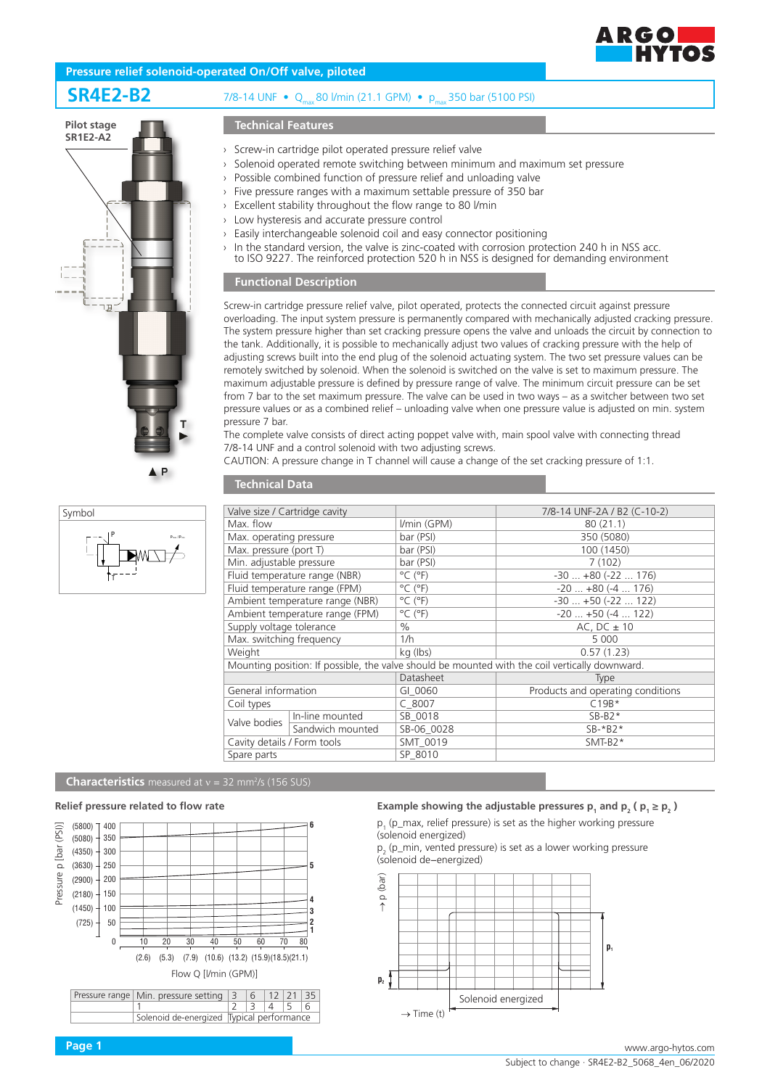

# **Pressure relief solenoid-operated On/Off valve, piloted**

# **SR4E2-B2** 7/8-14 UNF • Q<sub>max</sub> 80 l/min (21.1 GPM) • p<sub>max</sub> 350 bar (5100 PSI)





# **Technical Features**

- › Screw-in cartridge pilot operated pressure relief valve
- › Solenoid operated remote switching between minimum and maximum set pressure
- › Possible combined function of pressure relief and unloading valve
	- Five pressure ranges with a maximum settable pressure of 350 bar
- Excellent stability throughout the flow range to 80 l/min
- › Low hysteresis and accurate pressure control
- › Easily interchangeable solenoid coil and easy connector positioning
- $\rightarrow$  In the standard version, the valve is zinc-coated with corrosion protection 240 h in NSS acc. to ISO 9227. The reinforced protection 520 h in NSS is designed for demanding environment

# **Functional Description**

Screw-in cartridge pressure relief valve, pilot operated, protects the connected circuit against pressure overloading. The input system pressure is permanently compared with mechanically adjusted cracking pressure. The system pressure higher than set cracking pressure opens the valve and unloads the circuit by connection to the tank. Additionally, it is possible to mechanically adjust two values of cracking pressure with the help of adjusting screws built into the end plug of the solenoid actuating system. The two set pressure values can be remotely switched by solenoid. When the solenoid is switched on the valve is set to maximum pressure. The maximum adjustable pressure is defined by pressure range of valve. The minimum circuit pressure can be set from 7 bar to the set maximum pressure. The valve can be used in two ways – as a switcher between two set pressure values or as a combined relief – unloading valve when one pressure value is adjusted on min. system pressure 7 bar.

The complete valve consists of direct acting poppet valve with, main spool valve with connecting thread 7/8-14 UNF and a control solenoid with two adjusting screws.

CAUTION: A pressure change in T channel will cause a change of the set cracking pressure of 1:1.

# **Technical Data**

| Valve size / Cartridge cavity                                                                  |                  |                              | 7/8-14 UNF-2A / B2 (C-10-2)       |
|------------------------------------------------------------------------------------------------|------------------|------------------------------|-----------------------------------|
| Max. flow                                                                                      |                  | I/min (GPM)                  | 80(21.1)                          |
| Max. operating pressure                                                                        |                  | bar (PSI)                    | 350 (5080)                        |
| Max. pressure (port T)                                                                         |                  | bar (PSI)                    | 100 (1450)                        |
| Min. adjustable pressure                                                                       |                  | bar (PSI)                    | 7(102)                            |
| Fluid temperature range (NBR)                                                                  |                  | $^{\circ}$ C ( $^{\circ}$ F) | $-30+80(-22176)$                  |
| Fluid temperature range (FPM)                                                                  |                  | $^{\circ}$ C ( $^{\circ}$ F) | $-20$ $+80$ ( $-4$ 176)           |
| Ambient temperature range (NBR)                                                                |                  | $^{\circ}$ C ( $^{\circ}$ F) | $-30+50(-22122)$                  |
| Ambient temperature range (FPM)                                                                |                  | $^{\circ}$ C ( $^{\circ}$ F) | $-20$ $+50$ ( $-4$ 122)           |
| Supply voltage tolerance                                                                       |                  | $\%$                         | AC, $DC \pm 10$                   |
| Max. switching frequency                                                                       |                  | 1/h                          | 5 0 0 0                           |
| Weight                                                                                         |                  | kg (lbs)                     | 0.57(1.23)                        |
| Mounting position: If possible, the valve should be mounted with the coil vertically downward. |                  |                              |                                   |
|                                                                                                |                  | Datasheet                    | <b>Type</b>                       |
| General information                                                                            |                  | GI 0060                      | Products and operating conditions |
| Coil types                                                                                     |                  | $C$ 8007                     | $C19B*$                           |
| Valve bodies                                                                                   | In-line mounted  | SB 0018                      | $SB-B2*$                          |
|                                                                                                | Sandwich mounted | SB-06 0028                   | $SB-*B2*$                         |
| Cavity details / Form tools                                                                    |                  | SMT 0019                     | $SMT-B2*$                         |
| Spare parts                                                                                    |                  | SP 8010                      |                                   |

# **Characteristics** measured at v = 32 mm<sup>2</sup>/s (156 SUS)

### **Relief pressure related to flow rate**



# **Example showing the adjustable pressures**  $p_1$  **and**  $p_2$  **(** $p_1 \ge p_2$ **)**

 $p_1$  (p\_max, relief pressure) is set as the higher working pressure (solenoid energized)

 $p_2^{\,}$  (p\_min, vented pressure) is set as a lower working pressure (solenoid de−energized)